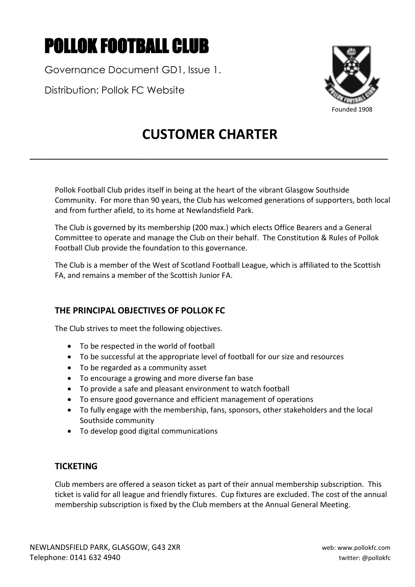# POLLOK FOOTBALL CLUB

Governance Document GD1, Issue 1.

Distribution: Pollok FC Website



# **CUSTOMER CHARTER**

**\_\_\_\_\_\_\_\_\_\_\_\_\_\_\_\_\_\_\_\_\_\_\_\_\_\_\_\_\_\_\_\_\_\_\_\_\_\_\_\_\_\_\_\_\_\_\_\_\_\_\_\_\_\_\_\_\_\_\_\_\_\_\_\_\_\_\_\_\_\_\_\_\_\_\_\_\_\_\_\_\_\_\_\_\_\_**

Pollok Football Club prides itself in being at the heart of the vibrant Glasgow Southside Community. For more than 90 years, the Club has welcomed generations of supporters, both local and from further afield, to its home at Newlandsfield Park.

The Club is governed by its membership (200 max.) which elects Office Bearers and a General Committee to operate and manage the Club on their behalf. The Constitution & Rules of Pollok Football Club provide the foundation to this governance.

The Club is a member of the West of Scotland Football League, which is affiliated to the Scottish FA, and remains a member of the Scottish Junior FA.

# **THE PRINCIPAL OBJECTIVES OF POLLOK FC**

The Club strives to meet the following objectives.

- To be respected in the world of football
- To be successful at the appropriate level of football for our size and resources
- To be regarded as a community asset
- To encourage a growing and more diverse fan base
- To provide a safe and pleasant environment to watch football
- To ensure good governance and efficient management of operations
- To fully engage with the membership, fans, sponsors, other stakeholders and the local Southside community
- To develop good digital communications

## **TICKETING**

Club members are offered a season ticket as part of their annual membership subscription. This ticket is valid for all league and friendly fixtures. Cup fixtures are excluded. The cost of the annual membership subscription is fixed by the Club members at the Annual General Meeting.